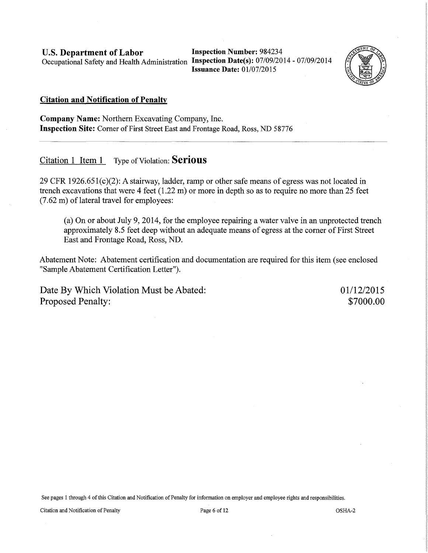U.S. Department of Labor Inspection Number: 984234 Occupational Safety and Health Administration Inspection Date(s): 07/09/2014 - 07/09/2014

Issuance Date: 01/07/2015



#### Citation and Notification of Penalty

Company Name: Northern Excavating Company, Inc. Inspection Site: Corner of First Street East and Frontage Road, Ross, ND 58776

Citation 1 Item  $1$  Type of Violation: **Serious** 

29 CFR 1926.651(c)(2): A stairway, ladder, ramp or other safe means of egress was not located in trench excavations that were 4 feet (1.22 m) or more in depth so as to require no more than 25 feet  $(7.62 \text{ m})$  of lateral travel for employees:

(a) On or about July 9, 2014, for the employee repairing a water valve in an unprotected trench approximately 8.5 feet deep without an adequate means of egress at the corner of First Street East and Frontage Road, Ross, ND.

Abatement Note: Abatement certification and documentation are required for this item (see enclosed "Sample Abatement Certification Letter").

Date By Which Violation Must be Abated: Proposed Penalty:

01/12/2015 \$7000.00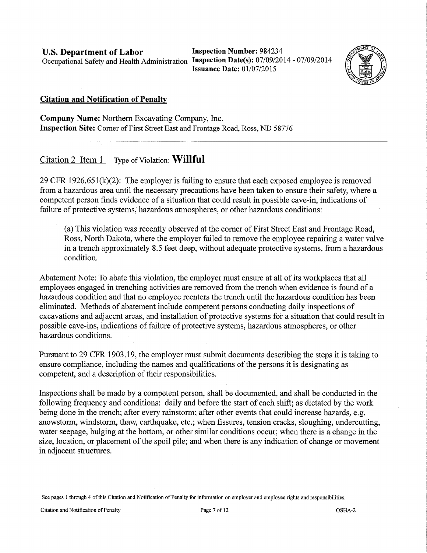**U.S. Department of Labor** Inspection Number: 984234 Occupational Safety and Health Administration **Inspection Date(s):** 07/09/2014- 07/09/2014

**Issuance Date:** 01/07/2015



### **Citation and Notification of Penalty**

**Company Name:** Northern Excavating Company, Inc. **Inspection Site:** Corner of First Street East and Frontage Road, Ross, ND 58776

# Citation 2 Item 1 Type of Violation: **Willful**

29 CFR 1926.651(k)(2): The employer is failing to ensure that each exposed employee is removed from a hazardous area until the necessary precautions have been taken to ensure their safety, where a competent person finds evidence of a situation that could result in possible cave-in, indications of failure of protective systems; hazardous atmospheres, or other hazardous conditions:

(a) This violation was recently observed at the comer of First Street East and Frontage Road, Ross, North Dakota, where the employer failed to remove the employee repairing a water valve in a trench approximately 8.5 feet deep, without adequate protective systems, from a hazardous condition.

Abatement Note: To abate this violation, the employer must ensure at all of its workplaces that all employees engaged in trenching activities are removed from the trench when evidence is found of a hazardous condition and that no employee reenters the trench until the hazardous condition has been eliminated. Methods of abatement include competent persons conducting daily inspections of excavations and adjacent areas, and installation of protective systems for a situation that could result in possible cave-ins, indications of failure of protective systems, hazardous atmospheres, or other hazardous conditions.

Pursuant to 29 CFR 1903.19, the employer must submit documents describing the steps it is taking to ensure compliance, including the names and qualifications of the persons it is designating as competent, and a description of their responsibilities.

Inspections shall be made by a competent person, shall be documented, and shall be conducted in the following frequency and conditions: daily and before the start of each shift; as dictated by the work being done in the trench; after every rainstorm; after other events that could increase hazards, e.g. snowstorm, windstorm, thaw, earthquake, etc.; when fissures, tension cracks, sloughing, undercutting, water seepage, bulging at the bottom, or other similar conditions occur; when there is a change in the size, location, or placement of the spoil pile; and when there is any indication of change or movement in adjacent structures.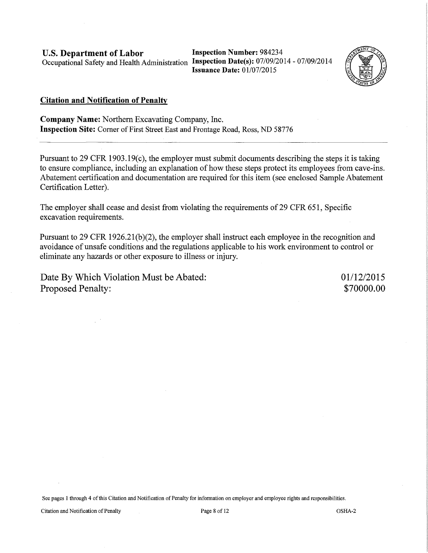U.S. Department of Labor Inspection Number: 984234 Occupational Safety and Health Administration Inspection Date(s): 07/09/2014- 07/09/2014

Issuance Date: 01/07/2015



#### Citation and Notification of Penalty

Company Name: Northern Excavating Company, Inc. Inspection Site: Comer of First Street East and Frontage Road, Ross, ND 58776

Pursuant to 29 CFR 1903.19(c), the employer must submit documents describing the steps it is taking to ensure compliance, including an explanation of how these steps protect its employees from cave-ins. Abatement certification and documentation are required for this item (see enclosed Sample Abatement Certification Letter).

The employer shall cease and desist from violating the requirements of 29 CFR 651, Specific excavation requirements.

Pursuant to 29 CFR 1926.21(b)(2), the employer shall instruct each employee in the recognition and avoidance of unsafe conditions and the regulations applicable to his work environment to control or eliminate any hazards or other exposure to illness or injury.

Date By Which Violation Must be Abated: Proposed Penalty:

01/12/2015 \$70000.00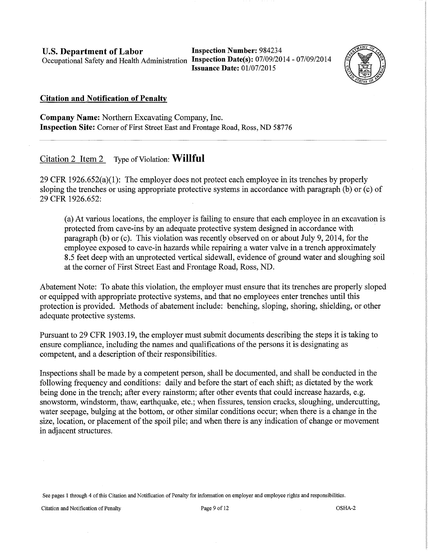**U.S. Department of Labor** Inspection Number: 984234 Occupational Safety and Health Administration **Inspection Date(s):** 07/09/2014-07/09/2014

**Issuance Date:** 01/07/2015



## **Citation and Notification of Penalty**

**Company Name:** Northern Excavating Company, Inc. **Inspection Site:** Corner of First Street East and Frontage Road, Ross, ND 58776

## Citation 2 Item 2 Type of Violation: **Willful**

29 CFR 1926.652(a)(1): The employer does not protect each employee in its trenches by properly sloping the trenches or using appropriate protective systems in accordance with paragraph (b) or (c) of 29 CFR 1926.652:

(a) At various locations, the employer is failing to ensure that each employee in an excavation is protected from cave-ins by an adequate protective system designed in accordance with paragraph (b) or (c). This violation was recently observed on or about July 9, 2014, for the employee exposed to cave-in hazards while repairing a water valve in a trench approximately 8.5 feet deep with an unprotected vertical sidewall, evidence of ground water and sloughing soil at the corner of First Street East and Frontage Road, Ross, ND.

Abatement Note: To abate this violation, the employer must ensure that its trenches are properly sloped or equipped with appropriate protective systems, and that no employees enter trenches until this protection is provided. Methods of abatement include: benching, sloping, shoring, shielding, or other adequate protective systems.

Pursuant to 29 CFR 1903.19, the employer must submit documents describing the steps it is taking to ensure compliance, including the names and qualifications of the persons it is designating as competent, and a description of their responsibilities.

Inspections shall be made by a competent person, shall be documented, and shall be conducted in the following frequency and conditions: daily and before the start of each shift; as dictated by the work being done in the trench; after every rainstorm; after other events that could increase hazards, e.g. snowstorm, windstorm, thaw, earthquake, etc.; when fissures, tension cracks, sloughing, undercutting, water seepage, bulging at the bottom, or other similar conditions occur; when there is a change in the size, location, or placement of the spoil pile; and when there is any indication of change or movement in adjacent structures.